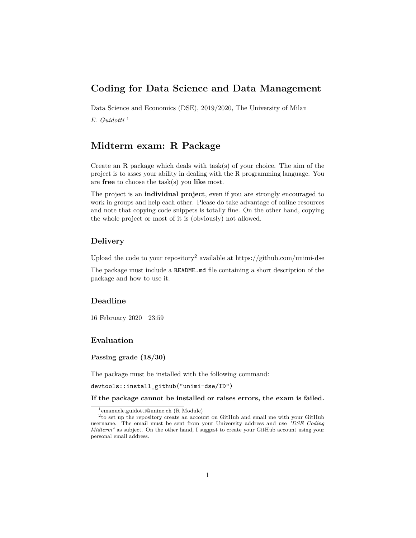# **Coding for Data Science and Data Management**

Data Science and Economics (DSE), 2019/2020, The University of Milan

*E. Guidotti* [1](#page-0-0)

# **Midterm exam: R Package**

Create an R package which deals with task(s) of your choice. The aim of the project is to asses your ability in dealing with the R programming language. You are **free** to choose the task(s) you **like** most.

The project is an **individual project**, even if you are strongly encouraged to work in groups and help each other. Please do take advantage of online resources and note that copying code snippets is totally fine. On the other hand, copying the whole project or most of it is (obviously) not allowed.

#### **Delivery**

Upload the code to your repository<sup>[2](#page-0-1)</sup> available at<https://github.com/unimi-dse>

The package must include a README.md file containing a short description of the package and how to use it.

## **Deadline**

16 February 2020 | 23:59

#### **Evaluation**

**Passing grade (18/30)**

The package must be installed with the following command:

devtools::install\_github("unimi-dse/ID")

**If the package cannot be installed or raises errors, the exam is failed.**

<span id="page-0-1"></span><span id="page-0-0"></span><sup>1</sup>[emanuele.guidotti@unine.ch](mailto:emanuele.guidotti@unine.ch) (R Module)

<sup>2</sup> to set up the repository create an account on GitHub and email me with your GitHub username. The email must be sent from your University address and use *"DSE Coding Midterm"* as subject. On the other hand, I suggest to create your GitHub account using your personal email address.